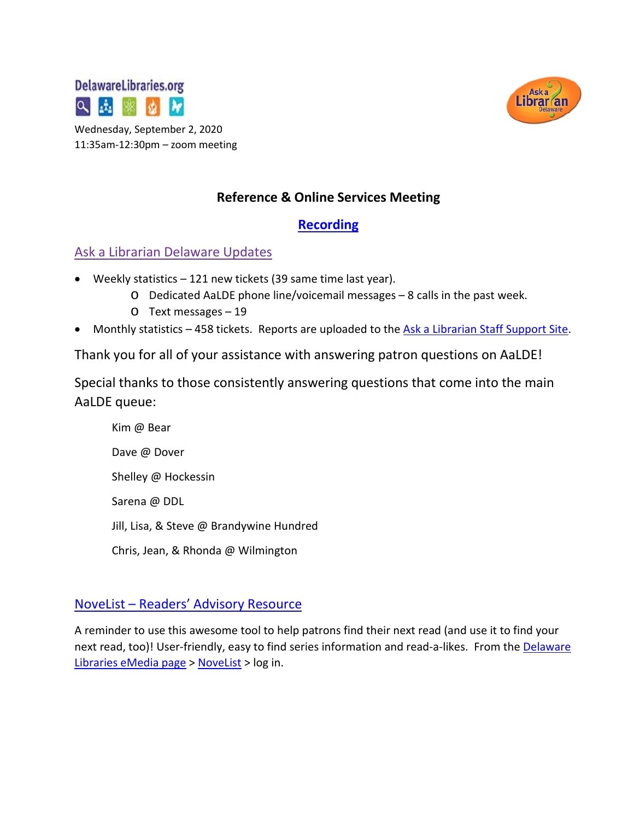





## **Reference & Online Services Meeting**

## **[Recording](https://drive.google.com/file/d/1BXhGHUQ4IfRVbtuNjBEbkWMWI9IEOXjI/view?usp=sharing)**

## Ask a Librarian Delaware Updates

- Weekly statistics 121 new tickets (39 same time last year).
	- o Dedicated AaLDE phone line/voicemail messages 8 calls in the past week.
	- o Text messages 19
- Monthly statistics 458 tickets. Reports are uploaded to the [Ask a Librarian Staff Support Site.](https://aalstaff.lib.de.us/home/reports/fy21-monthly-reports/)

Thank you for all of your assistance with answering patron questions on AaLDE!

Special thanks to those consistently answering questions that come into the main AaLDE queue:

Kim @ Bear Dave @ Dover Shelley @ Hockessin Sarena @ DDL Jill, Lisa, & Steve @ Brandywine Hundred Chris, Jean, & Rhonda @ Wilmington

## NoveList – [Readers' Advisory Resource](http://ezproxy.lib.de.us:2055/novp/search/novbasic?vid=10&sid=39e0e4ec-7efc-4331-904b-2ade9628fe30%40sessionmgr103)

A reminder to use this awesome tool to help patrons find their next read (and use it to find your next read, too)! User-friendly, easy to find series information and read-a-likes. From the Delaware [Libraries eMedia page](https://lib.de.us/emedia/) > [NoveList](http://ezproxy.lib.de.us:2072/novp/search/novbasic?vid=0&sid=c8879590-e5c1-44bf-b673-f3dfb314ddc9%40sessionmgr4008) > log in.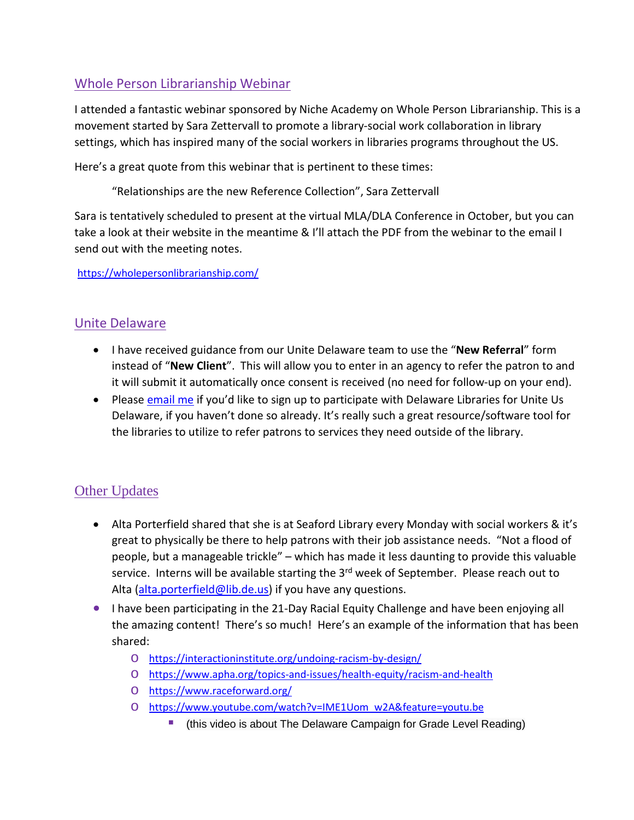## Whole Person Librarianship Webinar

I attended a fantastic webinar sponsored by Niche Academy on Whole Person Librarianship. This is a movement started by Sara Zettervall to promote a library-social work collaboration in library settings, which has inspired many of the social workers in libraries programs throughout the US.

Here's a great quote from this webinar that is pertinent to these times:

"Relationships are the new Reference Collection", Sara Zettervall

Sara is tentatively scheduled to present at the virtual MLA/DLA Conference in October, but you can take a look at their website in the meantime & I'll attach the PDF from the webinar to the email I send out with the meeting notes.

<https://wholepersonlibrarianship.com/>

## Unite Delaware

- I have received guidance from our Unite Delaware team to use the "**New Referral**" form instead of "**New Client**". This will allow you to enter in an agency to refer the patron to and it will submit it automatically once consent is received (no need for follow-up on your end).
- Please [email me](mailto:missy.williams@lib.de.us) if you'd like to sign up to participate with Delaware Libraries for Unite Us Delaware, if you haven't done so already. It's really such a great resource/software tool for the libraries to utilize to refer patrons to services they need outside of the library.

## Other Updates

- Alta Porterfield shared that she is at Seaford Library every Monday with social workers & it's great to physically be there to help patrons with their job assistance needs. "Not a flood of people, but a manageable trickle" – which has made it less daunting to provide this valuable service. Interns will be available starting the 3<sup>rd</sup> week of September. Please reach out to Alta [\(alta.porterfield@lib.de.us\)](mailto:alta.porterfield@lib.de.us) if you have any questions.
- I have been participating in the 21-Day Racial Equity Challenge and have been enjoying all the amazing content! There's so much! Here's an example of the information that has been shared:
	- o <https://interactioninstitute.org/undoing-racism-by-design/>
	- o <https://www.apha.org/topics-and-issues/health-equity/racism-and-health>
	- o <https://www.raceforward.org/>
	- o [https://www.youtube.com/watch?v=IME1Uom\\_w2A&feature=youtu.be](https://www.youtube.com/watch?v=IME1Uom_w2A&feature=youtu.be)
		- (this video is about The Delaware Campaign for Grade Level Reading)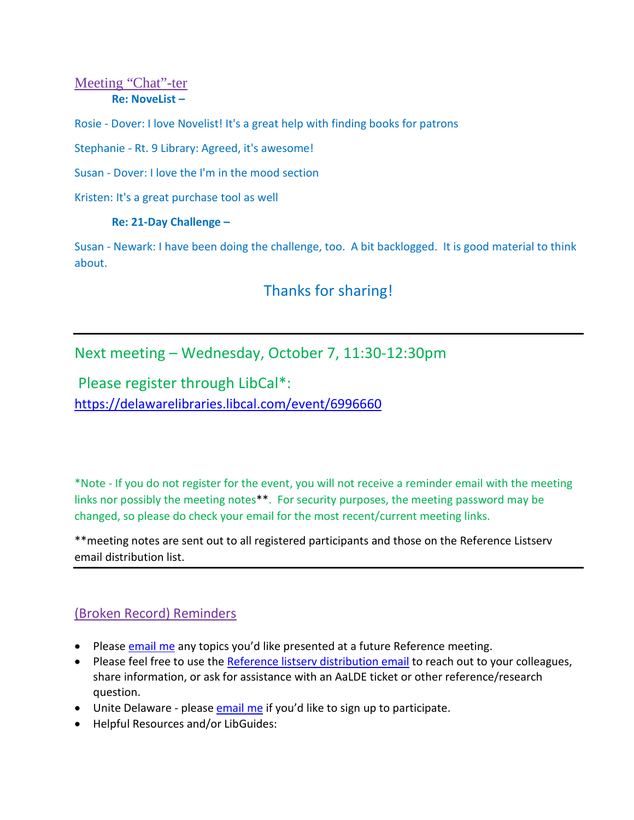### Meeting "Chat"-ter **Re: NoveList –**

Rosie - Dover: I love Novelist! It's a great help with finding books for patrons

Stephanie - Rt. 9 Library: Agreed, it's awesome!

Susan - Dover: I love the I'm in the mood section

Kristen: It's a great purchase tool as well

#### **Re: 21-Day Challenge –**

Susan - Newark: I have been doing the challenge, too. A bit backlogged. It is good material to think about.

# Thanks for sharing!

## Next meeting – Wednesday, October 7, 11:30-12:30pm

Please register through LibCal\*: <https://delawarelibraries.libcal.com/event/6996660>

\*Note - If you do not register for the event, you will not receive a reminder email with the meeting links nor possibly the meeting notes\*\*. For security purposes, the meeting password may be changed, so please do check your email for the most recent/current meeting links.

\*\*meeting notes are sent out to all registered participants and those on the Reference Listserv email distribution list.

## (Broken Record) Reminders

- Please [email me](mailto:missy.williams@lib.de.us) any topics you'd like presented at a future Reference meeting.
- Please feel free to use the Reference listsery distribution email to reach out to your colleagues, share information, or ask for assistance with an AaLDE ticket or other reference/research question.
- Unite Delaware please [email me](mailto:missy.williams@lib.de.us) if you'd like to sign up to participate.
- Helpful Resources and/or LibGuides: